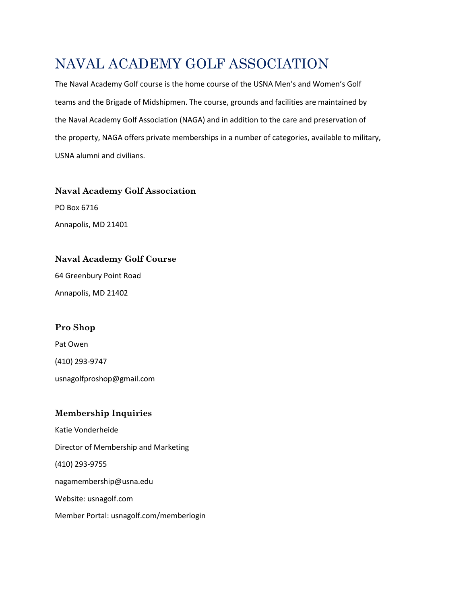# NAVAL ACADEMY GOLF ASSOCIATION

The Naval Academy Golf course is the home course of the USNA Men's and Women's Golf teams and the Brigade of Midshipmen. The course, grounds and facilities are maintained by the Naval Academy Golf Association (NAGA) and in addition to the care and preservation of the property, NAGA offers private memberships in a number of categories, available to military, USNA alumni and civilians.

## **Naval Academy Golf Association** PO Box 6716

Annapolis, MD 21401

### **Naval Academy Golf Course**

64 Greenbury Point Road Annapolis, MD 21402

### **Pro Shop**

Pat Owen (410) 293-9747

usnagolfproshop@gmail.com

### **Membership Inquiries**

Katie Vonderheide Director of Membership and Marketing (410) 293-9755 nagamembership@usna.edu Website: usnagolf.com Member Portal: usnagolf.com/memberlogin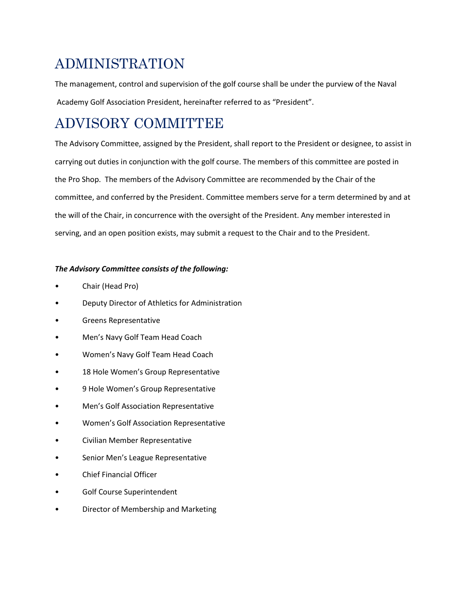# ADMINISTRATION

The management, control and supervision of the golf course shall be under the purview of the Naval Academy Golf Association President, hereinafter referred to as "President".

# ADVISORY COMMITTEE

The Advisory Committee, assigned by the President, shall report to the President or designee, to assist in carrying out duties in conjunction with the golf course. The members of this committee are posted in the Pro Shop. The members of the Advisory Committee are recommended by the Chair of the committee, and conferred by the President. Committee members serve for a term determined by and at the will of the Chair, in concurrence with the oversight of the President. Any member interested in serving, and an open position exists, may submit a request to the Chair and to the President.

### *The Advisory Committee consists of the following:*

- Chair (Head Pro)
- Deputy Director of Athletics for Administration
- Greens Representative
- Men's Navy Golf Team Head Coach
- Women's Navy Golf Team Head Coach
- 18 Hole Women's Group Representative
- 9 Hole Women's Group Representative
- Men's Golf Association Representative
- Women's Golf Association Representative
- Civilian Member Representative
- Senior Men's League Representative
- Chief Financial Officer
- Golf Course Superintendent
- Director of Membership and Marketing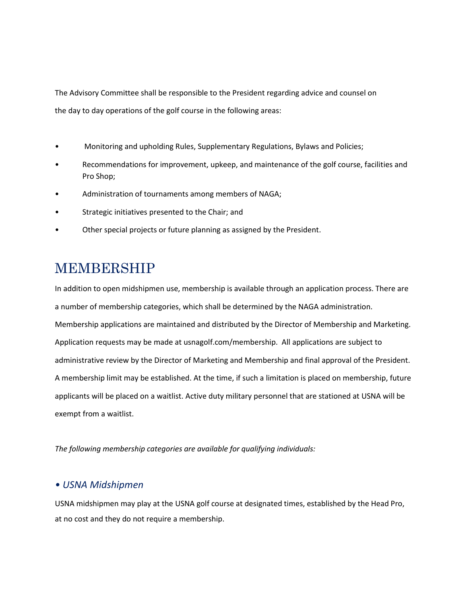The Advisory Committee shall be responsible to the President regarding advice and counsel on the day to day operations of the golf course in the following areas:

- Monitoring and upholding Rules, Supplementary Regulations, Bylaws and Policies;
- Recommendations for improvement, upkeep, and maintenance of the golf course, facilities and Pro Shop;
- Administration of tournaments among members of NAGA;
- Strategic initiatives presented to the Chair; and
- Other special projects or future planning as assigned by the President.

# MEMBERSHIP

In addition to open midshipmen use, membership is available through an application process. There are a number of membership categories, which shall be determined by the NAGA administration. Membership applications are maintained and distributed by the Director of Membership and Marketing. Application requests may be made at usnagolf.com/membership. All applications are subject to administrative review by the Director of Marketing and Membership and final approval of the President. A membership limit may be established. At the time, if such a limitation is placed on membership, future applicants will be placed on a waitlist. Active duty military personnel that are stationed at USNA will be exempt from a waitlist.

*The following membership categories are available for qualifying individuals:*

### *• USNA Midshipmen*

USNA midshipmen may play at the USNA golf course at designated times, established by the Head Pro, at no cost and they do not require a membership.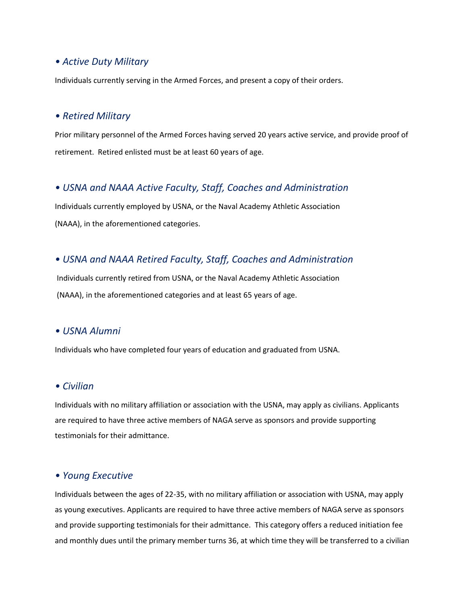### *• Active Duty Military*

Individuals currently serving in the Armed Forces, and present a copy of their orders.

#### *• Retired Military*

Prior military personnel of the Armed Forces having served 20 years active service, and provide proof of retirement. Retired enlisted must be at least 60 years of age.

### *• USNA and NAAA Active Faculty, Staff, Coaches and Administration*

Individuals currently employed by USNA, or the Naval Academy Athletic Association (NAAA), in the aforementioned categories.

### *• USNA and NAAA Retired Faculty, Staff, Coaches and Administration*

Individuals currently retired from USNA, or the Naval Academy Athletic Association (NAAA), in the aforementioned categories and at least 65 years of age.

#### *• USNA Alumni*

Individuals who have completed four years of education and graduated from USNA.

### *• Civilian*

Individuals with no military affiliation or association with the USNA, may apply as civilians. Applicants are required to have three active members of NAGA serve as sponsors and provide supporting testimonials for their admittance.

### *• Young Executive*

Individuals between the ages of 22-35, with no military affiliation or association with USNA, may apply as young executives. Applicants are required to have three active members of NAGA serve as sponsors and provide supporting testimonials for their admittance. This category offers a reduced initiation fee and monthly dues until the primary member turns 36, at which time they will be transferred to a civilian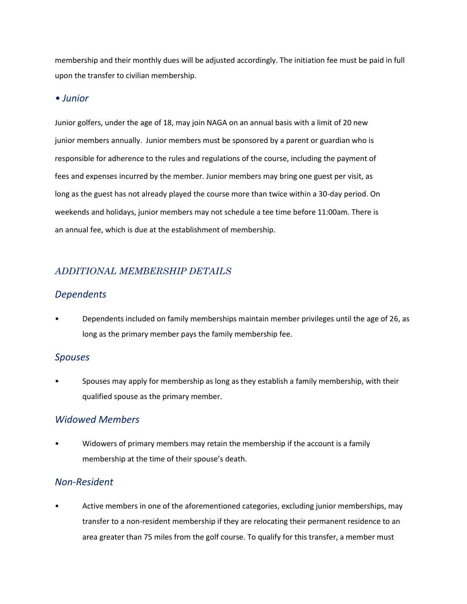membership and their monthly dues will be adjusted accordingly. The initiation fee must be paid in full upon the transfer to civilian membership.

### *• Junior*

Junior golfers, under the age of 18, may join NAGA on an annual basis with a limit of 20 new junior members annually. Junior members must be sponsored by a parent or guardian who is responsible for adherence to the rules and regulations of the course, including the payment of fees and expenses incurred by the member. Junior members may bring one guest per visit, as long as the guest has not already played the course more than twice within a 30-day period. On weekends and holidays, junior members may not schedule a tee time before 11:00am. There is an annual fee, which is due at the establishment of membership.

## *ADDITIONAL MEMBERSHIP DETAILS*

### *Dependents*

• Dependents included on family memberships maintain member privileges until the age of 26, as long as the primary member pays the family membership fee.

### *Spouses*

• Spouses may apply for membership as long as they establish a family membership, with their qualified spouse as the primary member.

### *Widowed Members*

• Widowers of primary members may retain the membership if the account is a family membership at the time of their spouse's death.

### *Non-Resident*

• Active members in one of the aforementioned categories, excluding junior memberships, may transfer to a non-resident membership if they are relocating their permanent residence to an area greater than 75 miles from the golf course. To qualify for this transfer, a member must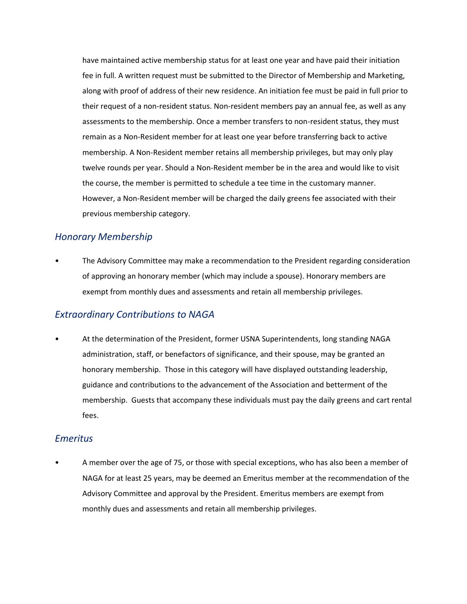have maintained active membership status for at least one year and have paid their initiation fee in full. A written request must be submitted to the Director of Membership and Marketing, along with proof of address of their new residence. An initiation fee must be paid in full prior to their request of a non-resident status. Non-resident members pay an annual fee, as well as any assessments to the membership. Once a member transfers to non-resident status, they must remain as a Non-Resident member for at least one year before transferring back to active membership. A Non-Resident member retains all membership privileges, but may only play twelve rounds per year. Should a Non-Resident member be in the area and would like to visit the course, the member is permitted to schedule a tee time in the customary manner. However, a Non-Resident member will be charged the daily greens fee associated with their previous membership category.

### *Honorary Membership*

• The Advisory Committee may make a recommendation to the President regarding consideration of approving an honorary member (which may include a spouse). Honorary members are exempt from monthly dues and assessments and retain all membership privileges.

### *Extraordinary Contributions to NAGA*

• At the determination of the President, former USNA Superintendents, long standing NAGA administration, staff, or benefactors of significance, and their spouse, may be granted an honorary membership. Those in this category will have displayed outstanding leadership, guidance and contributions to the advancement of the Association and betterment of the membership. Guests that accompany these individuals must pay the daily greens and cart rental fees.

### *Emeritus*

• A member over the age of 75, or those with special exceptions, who has also been a member of NAGA for at least 25 years, may be deemed an Emeritus member at the recommendation of the Advisory Committee and approval by the President. Emeritus members are exempt from monthly dues and assessments and retain all membership privileges.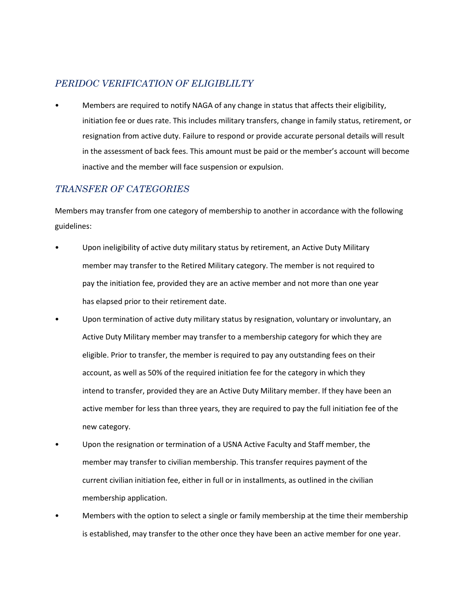## *PERIDOC VERIFICATION OF ELIGIBLILTY*

• Members are required to notify NAGA of any change in status that affects their eligibility, initiation fee or dues rate. This includes military transfers, change in family status, retirement, or resignation from active duty. Failure to respond or provide accurate personal details will result in the assessment of back fees. This amount must be paid or the member's account will become inactive and the member will face suspension or expulsion.

## *TRANSFER OF CATEGORIES*

Members may transfer from one category of membership to another in accordance with the following guidelines:

- Upon ineligibility of active duty military status by retirement, an Active Duty Military member may transfer to the Retired Military category. The member is not required to pay the initiation fee, provided they are an active member and not more than one year has elapsed prior to their retirement date.
- Upon termination of active duty military status by resignation, voluntary or involuntary, an Active Duty Military member may transfer to a membership category for which they are eligible. Prior to transfer, the member is required to pay any outstanding fees on their account, as well as 50% of the required initiation fee for the category in which they intend to transfer, provided they are an Active Duty Military member. If they have been an active member for less than three years, they are required to pay the full initiation fee of the new category.
- Upon the resignation or termination of a USNA Active Faculty and Staff member, the member may transfer to civilian membership. This transfer requires payment of the current civilian initiation fee, either in full or in installments, as outlined in the civilian membership application.
- Members with the option to select a single or family membership at the time their membership is established, may transfer to the other once they have been an active member for one year.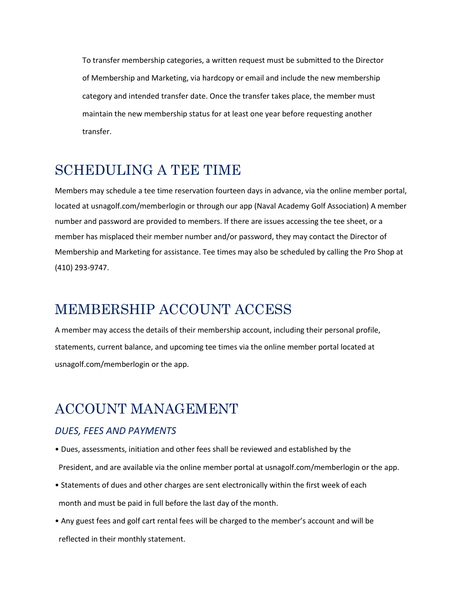To transfer membership categories, a written request must be submitted to the Director of Membership and Marketing, via hardcopy or email and include the new membership category and intended transfer date. Once the transfer takes place, the member must maintain the new membership status for at least one year before requesting another transfer.

## SCHEDULING A TEE TIME

Members may schedule a tee time reservation fourteen days in advance, via the online member portal, located at usnagolf.com/memberlogin or through our app (Naval Academy Golf Association) A member number and password are provided to members. If there are issues accessing the tee sheet, or a member has misplaced their member number and/or password, they may contact the Director of Membership and Marketing for assistance. Tee times may also be scheduled by calling the Pro Shop at (410) 293-9747.

## MEMBERSHIP ACCOUNT ACCESS

A member may access the details of their membership account, including their personal profile, statements, current balance, and upcoming tee times via the online member portal located at usnagolf.com/memberlogin or the app.

## ACCOUNT MANAGEMENT

### *DUES, FEES AND PAYMENTS*

- Dues, assessments, initiation and other fees shall be reviewed and established by the President, and are available via the online member portal at usnagolf.com/memberlogin or the app.
- Statements of dues and other charges are sent electronically within the first week of each month and must be paid in full before the last day of the month.
- Any guest fees and golf cart rental fees will be charged to the member's account and will be reflected in their monthly statement.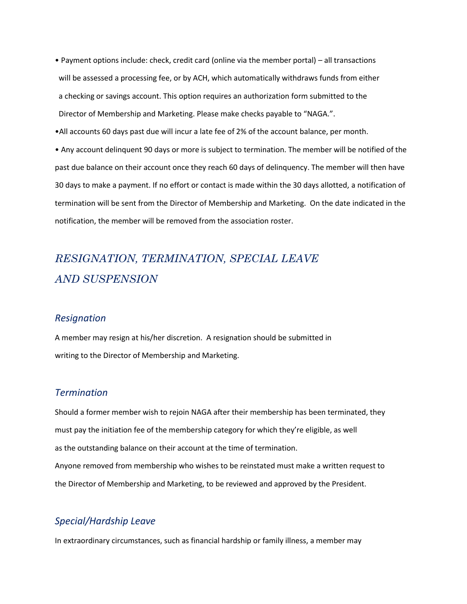- Payment options include: check, credit card (online via the member portal) all transactions will be assessed a processing fee, or by ACH, which automatically withdraws funds from either a checking or savings account. This option requires an authorization form submitted to the Director of Membership and Marketing. Please make checks payable to "NAGA.".
- •All accounts 60 days past due will incur a late fee of 2% of the account balance, per month.

• Any account delinquent 90 days or more is subject to termination. The member will be notified of the past due balance on their account once they reach 60 days of delinquency. The member will then have 30 days to make a payment. If no effort or contact is made within the 30 days allotted, a notification of termination will be sent from the Director of Membership and Marketing. On the date indicated in the notification, the member will be removed from the association roster.

## *RESIGNATION, TERMINATION, SPECIAL LEAVE AND SUSPENSION*

#### *Resignation*

A member may resign at his/her discretion. A resignation should be submitted in writing to the Director of Membership and Marketing.

### *Termination*

Should a former member wish to rejoin NAGA after their membership has been terminated, they must pay the initiation fee of the membership category for which they're eligible, as well as the outstanding balance on their account at the time of termination. Anyone removed from membership who wishes to be reinstated must make a written request to the Director of Membership and Marketing, to be reviewed and approved by the President.

### *Special/Hardship Leave*

In extraordinary circumstances, such as financial hardship or family illness, a member may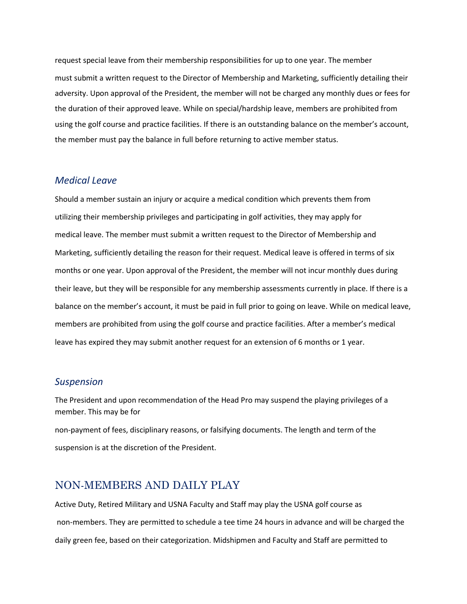request special leave from their membership responsibilities for up to one year. The member must submit a written request to the Director of Membership and Marketing, sufficiently detailing their adversity. Upon approval of the President, the member will not be charged any monthly dues or fees for the duration of their approved leave. While on special/hardship leave, members are prohibited from using the golf course and practice facilities. If there is an outstanding balance on the member's account, the member must pay the balance in full before returning to active member status.

### *Medical Leave*

Should a member sustain an injury or acquire a medical condition which prevents them from utilizing their membership privileges and participating in golf activities, they may apply for medical leave. The member must submit a written request to the Director of Membership and Marketing, sufficiently detailing the reason for their request. Medical leave is offered in terms of six months or one year. Upon approval of the President, the member will not incur monthly dues during their leave, but they will be responsible for any membership assessments currently in place. If there is a balance on the member's account, it must be paid in full prior to going on leave. While on medical leave, members are prohibited from using the golf course and practice facilities. After a member's medical leave has expired they may submit another request for an extension of 6 months or 1 year.

#### *Suspension*

The President and upon recommendation of the Head Pro may suspend the playing privileges of a member. This may be for

non-payment of fees, disciplinary reasons, or falsifying documents. The length and term of the suspension is at the discretion of the President.

## NON-MEMBERS AND DAILY PLAY

Active Duty, Retired Military and USNA Faculty and Staff may play the USNA golf course as non-members. They are permitted to schedule a tee time 24 hours in advance and will be charged the daily green fee, based on their categorization. Midshipmen and Faculty and Staff are permitted to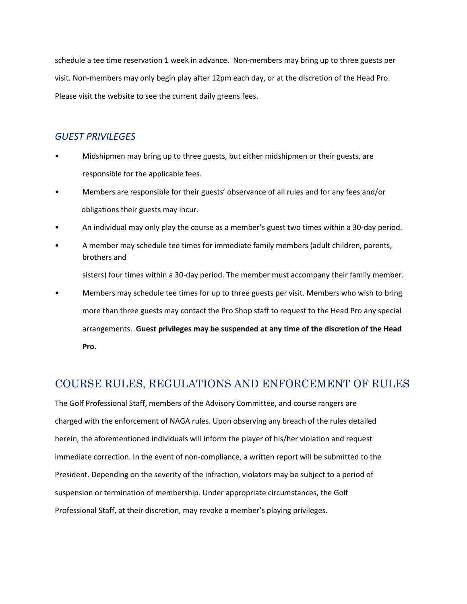schedule a tee time reservation 1 week in advance. Non-members may bring up to three guests per visit. Non-members may only begin play after 12pm each day, or at the discretion of the Head Pro. Please visit the website to see the current daily greens fees.

### *GUEST PRIVILEGES*

- Midshipmen may bring up to three guests, but either midshipmen or their guests, are responsible for the applicable fees.
- Members are responsible for their guests' observance of all rules and for any fees and/or obligations their guests may incur.
- An individual may only play the course as a member's guest two times within a 30-day period.
- A member may schedule tee times for immediate family members (adult children, parents, brothers and

sisters) four times within a 30-day period. The member must accompany their family member.

• Members may schedule tee times for up to three guests per visit. Members who wish to bring more than three guests may contact the Pro Shop staff to request to the Head Pro any special arrangements. **Guest privileges may be suspended at any time of the discretion of the Head Pro.**

## COURSE RULES, REGULATIONS AND ENFORCEMENT OF RULES

The Golf Professional Staff, members of the Advisory Committee, and course rangers are charged with the enforcement of NAGA rules. Upon observing any breach of the rules detailed herein, the aforementioned individuals will inform the player of his/her violation and request immediate correction. In the event of non-compliance, a written report will be submitted to the President. Depending on the severity of the infraction, violators may be subject to a period of suspension or termination of membership. Under appropriate circumstances, the Golf Professional Staff, at their discretion, may revoke a member's playing privileges.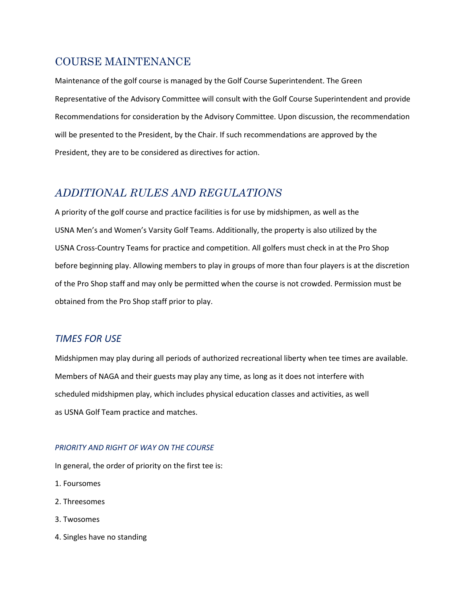## COURSE MAINTENANCE

Maintenance of the golf course is managed by the Golf Course Superintendent. The Green Representative of the Advisory Committee will consult with the Golf Course Superintendent and provide Recommendations for consideration by the Advisory Committee. Upon discussion, the recommendation will be presented to the President, by the Chair. If such recommendations are approved by the President, they are to be considered as directives for action.

## *ADDITIONAL RULES AND REGULATIONS*

A priority of the golf course and practice facilities is for use by midshipmen, as well as the USNA Men's and Women's Varsity Golf Teams. Additionally, the property is also utilized by the USNA Cross-Country Teams for practice and competition. All golfers must check in at the Pro Shop before beginning play. Allowing members to play in groups of more than four players is at the discretion of the Pro Shop staff and may only be permitted when the course is not crowded. Permission must be obtained from the Pro Shop staff prior to play.

### *TIMES FOR USE*

Midshipmen may play during all periods of authorized recreational liberty when tee times are available. Members of NAGA and their guests may play any time, as long as it does not interfere with scheduled midshipmen play, which includes physical education classes and activities, as well as USNA Golf Team practice and matches.

### *PRIORITY AND RIGHT OF WAY ON THE COURSE*

In general, the order of priority on the first tee is:

- 1. Foursomes
- 2. Threesomes
- 3. Twosomes
- 4. Singles have no standing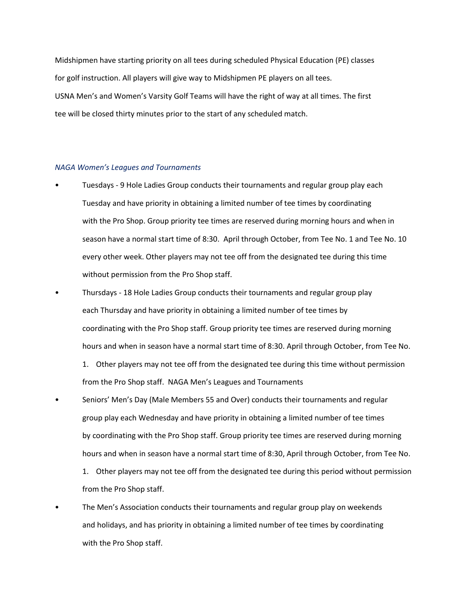Midshipmen have starting priority on all tees during scheduled Physical Education (PE) classes for golf instruction. All players will give way to Midshipmen PE players on all tees. USNA Men's and Women's Varsity Golf Teams will have the right of way at all times. The first tee will be closed thirty minutes prior to the start of any scheduled match.

#### *NAGA Women's Leagues and Tournaments*

- Tuesdays 9 Hole Ladies Group conducts their tournaments and regular group play each Tuesday and have priority in obtaining a limited number of tee times by coordinating with the Pro Shop. Group priority tee times are reserved during morning hours and when in season have a normal start time of 8:30. April through October, from Tee No. 1 and Tee No. 10 every other week. Other players may not tee off from the designated tee during this time without permission from the Pro Shop staff.
- Thursdays 18 Hole Ladies Group conducts their tournaments and regular group play each Thursday and have priority in obtaining a limited number of tee times by coordinating with the Pro Shop staff. Group priority tee times are reserved during morning hours and when in season have a normal start time of 8:30. April through October, from Tee No.
	- 1. Other players may not tee off from the designated tee during this time without permission from the Pro Shop staff. NAGA Men's Leagues and Tournaments
- Seniors' Men's Day (Male Members 55 and Over) conducts their tournaments and regular group play each Wednesday and have priority in obtaining a limited number of tee times by coordinating with the Pro Shop staff. Group priority tee times are reserved during morning hours and when in season have a normal start time of 8:30, April through October, from Tee No. 1. Other players may not tee off from the designated tee during this period without permission
	- from the Pro Shop staff.
- The Men's Association conducts their tournaments and regular group play on weekends and holidays, and has priority in obtaining a limited number of tee times by coordinating with the Pro Shop staff.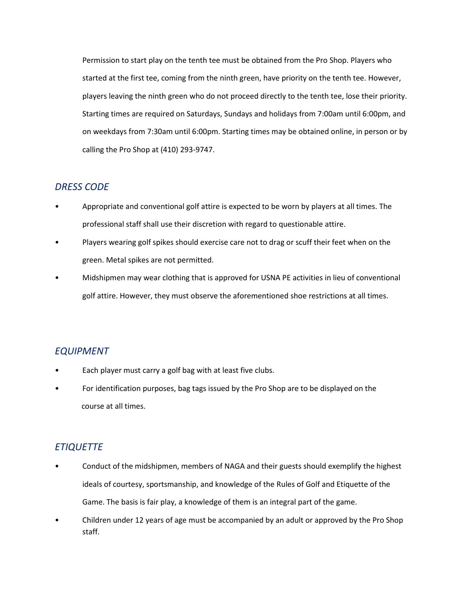Permission to start play on the tenth tee must be obtained from the Pro Shop. Players who started at the first tee, coming from the ninth green, have priority on the tenth tee. However, players leaving the ninth green who do not proceed directly to the tenth tee, lose their priority. Starting times are required on Saturdays, Sundays and holidays from 7:00am until 6:00pm, and on weekdays from 7:30am until 6:00pm. Starting times may be obtained online, in person or by calling the Pro Shop at (410) 293-9747.

### *DRESS CODE*

- Appropriate and conventional golf attire is expected to be worn by players at all times. The professional staff shall use their discretion with regard to questionable attire.
- Players wearing golf spikes should exercise care not to drag or scuff their feet when on the green. Metal spikes are not permitted.
- Midshipmen may wear clothing that is approved for USNA PE activities in lieu of conventional golf attire. However, they must observe the aforementioned shoe restrictions at all times.

### *EQUIPMENT*

- Each player must carry a golf bag with at least five clubs.
- For identification purposes, bag tags issued by the Pro Shop are to be displayed on the course at all times.

### *ETIQUETTE*

- Conduct of the midshipmen, members of NAGA and their guests should exemplify the highest ideals of courtesy, sportsmanship, and knowledge of the Rules of Golf and Etiquette of the Game. The basis is fair play, a knowledge of them is an integral part of the game.
- Children under 12 years of age must be accompanied by an adult or approved by the Pro Shop staff.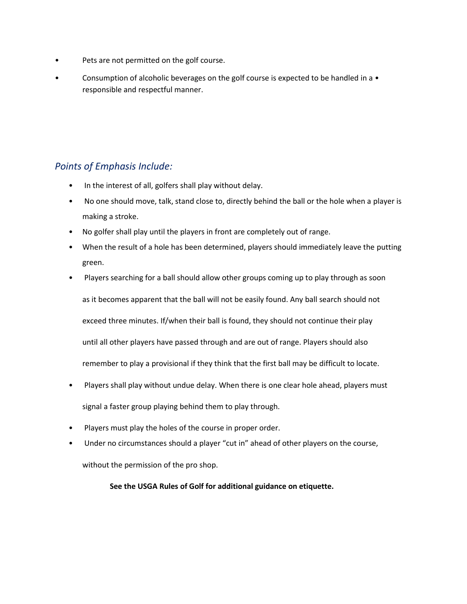- Pets are not permitted on the golf course.
- Consumption of alcoholic beverages on the golf course is expected to be handled in a responsible and respectful manner.

### *Points of Emphasis Include:*

- In the interest of all, golfers shall play without delay.
- No one should move, talk, stand close to, directly behind the ball or the hole when a player is making a stroke.
- No golfer shall play until the players in front are completely out of range.
- When the result of a hole has been determined, players should immediately leave the putting green.
- Players searching for a ball should allow other groups coming up to play through as soon as it becomes apparent that the ball will not be easily found. Any ball search should not exceed three minutes. If/when their ball is found, they should not continue their play until all other players have passed through and are out of range. Players should also remember to play a provisional if they think that the first ball may be difficult to locate.
- Players shall play without undue delay. When there is one clear hole ahead, players must signal a faster group playing behind them to play through.
- Players must play the holes of the course in proper order.
- Under no circumstances should a player "cut in" ahead of other players on the course,

without the permission of the pro shop.

**See the USGA Rules of Golf for additional guidance on etiquette.**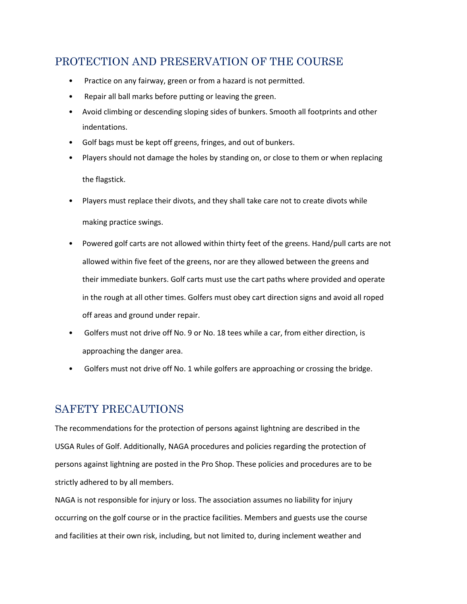## PROTECTION AND PRESERVATION OF THE COURSE

- Practice on any fairway, green or from a hazard is not permitted.
- Repair all ball marks before putting or leaving the green.
- Avoid climbing or descending sloping sides of bunkers. Smooth all footprints and other indentations.
- Golf bags must be kept off greens, fringes, and out of bunkers.
- Players should not damage the holes by standing on, or close to them or when replacing the flagstick.
- Players must replace their divots, and they shall take care not to create divots while making practice swings.
- Powered golf carts are not allowed within thirty feet of the greens. Hand/pull carts are not allowed within five feet of the greens, nor are they allowed between the greens and their immediate bunkers. Golf carts must use the cart paths where provided and operate in the rough at all other times. Golfers must obey cart direction signs and avoid all roped off areas and ground under repair.
- Golfers must not drive off No. 9 or No. 18 tees while a car, from either direction, is approaching the danger area.
- Golfers must not drive off No. 1 while golfers are approaching or crossing the bridge.

## SAFETY PRECAUTIONS

The recommendations for the protection of persons against lightning are described in the USGA Rules of Golf. Additionally, NAGA procedures and policies regarding the protection of persons against lightning are posted in the Pro Shop. These policies and procedures are to be strictly adhered to by all members.

NAGA is not responsible for injury or loss. The association assumes no liability for injury occurring on the golf course or in the practice facilities. Members and guests use the course and facilities at their own risk, including, but not limited to, during inclement weather and